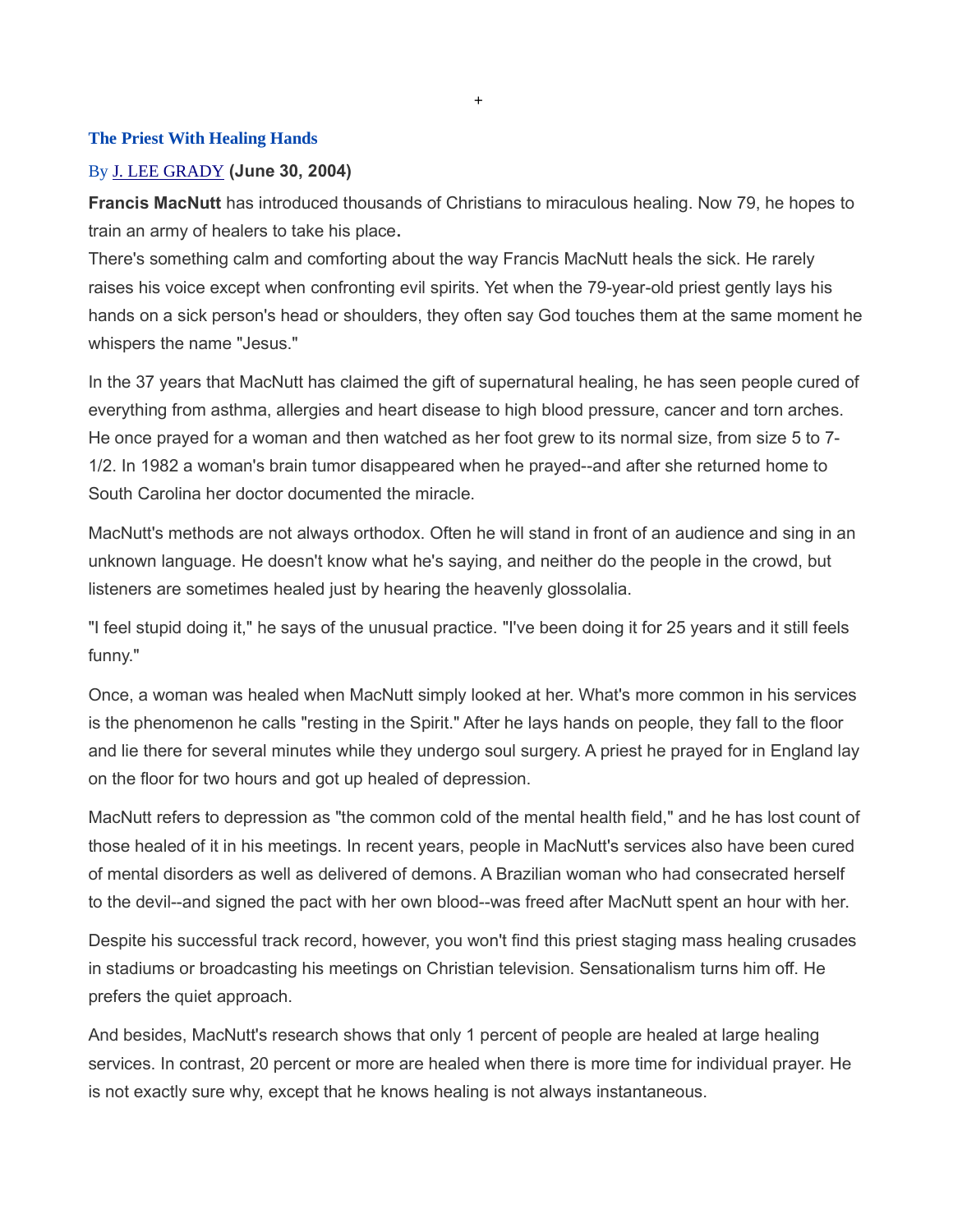#### The Priest With Healing Hands

#### By J. LEE GRADY (June 30, 2004)

Francis MacNutt has introduced thousands of Christians to miraculous healing. Now 79, he hopes to train an army of healers to take his place.

+

There's something calm and comforting about the way Francis MacNutt heals the sick. He rarely raises his voice except when confronting evil spirits. Yet when the 79-year-old priest gently lays his hands on a sick person's head or shoulders, they often say God touches them at the same moment he whispers the name "Jesus."

In the 37 years that MacNutt has claimed the gift of supernatural healing, he has seen people cured of everything from asthma, allergies and heart disease to high blood pressure, cancer and torn arches. He once prayed for a woman and then watched as her foot grew to its normal size, from size 5 to 7- 1/2. In 1982 a woman's brain tumor disappeared when he prayed--and after she returned home to South Carolina her doctor documented the miracle.

MacNutt's methods are not always orthodox. Often he will stand in front of an audience and sing in an unknown language. He doesn't know what he's saying, and neither do the people in the crowd, but listeners are sometimes healed just by hearing the heavenly glossolalia.

"I feel stupid doing it," he says of the unusual practice. "I've been doing it for 25 years and it still feels funny."

Once, a woman was healed when MacNutt simply looked at her. What's more common in his services is the phenomenon he calls "resting in the Spirit." After he lays hands on people, they fall to the floor and lie there for several minutes while they undergo soul surgery. A priest he prayed for in England lay on the floor for two hours and got up healed of depression.

MacNutt refers to depression as "the common cold of the mental health field," and he has lost count of those healed of it in his meetings. In recent years, people in MacNutt's services also have been cured of mental disorders as well as delivered of demons. A Brazilian woman who had consecrated herself to the devil--and signed the pact with her own blood--was freed after MacNutt spent an hour with her.

Despite his successful track record, however, you won't find this priest staging mass healing crusades in stadiums or broadcasting his meetings on Christian television. Sensationalism turns him off. He prefers the quiet approach.

And besides, MacNutt's research shows that only 1 percent of people are healed at large healing services. In contrast, 20 percent or more are healed when there is more time for individual prayer. He is not exactly sure why, except that he knows healing is not always instantaneous.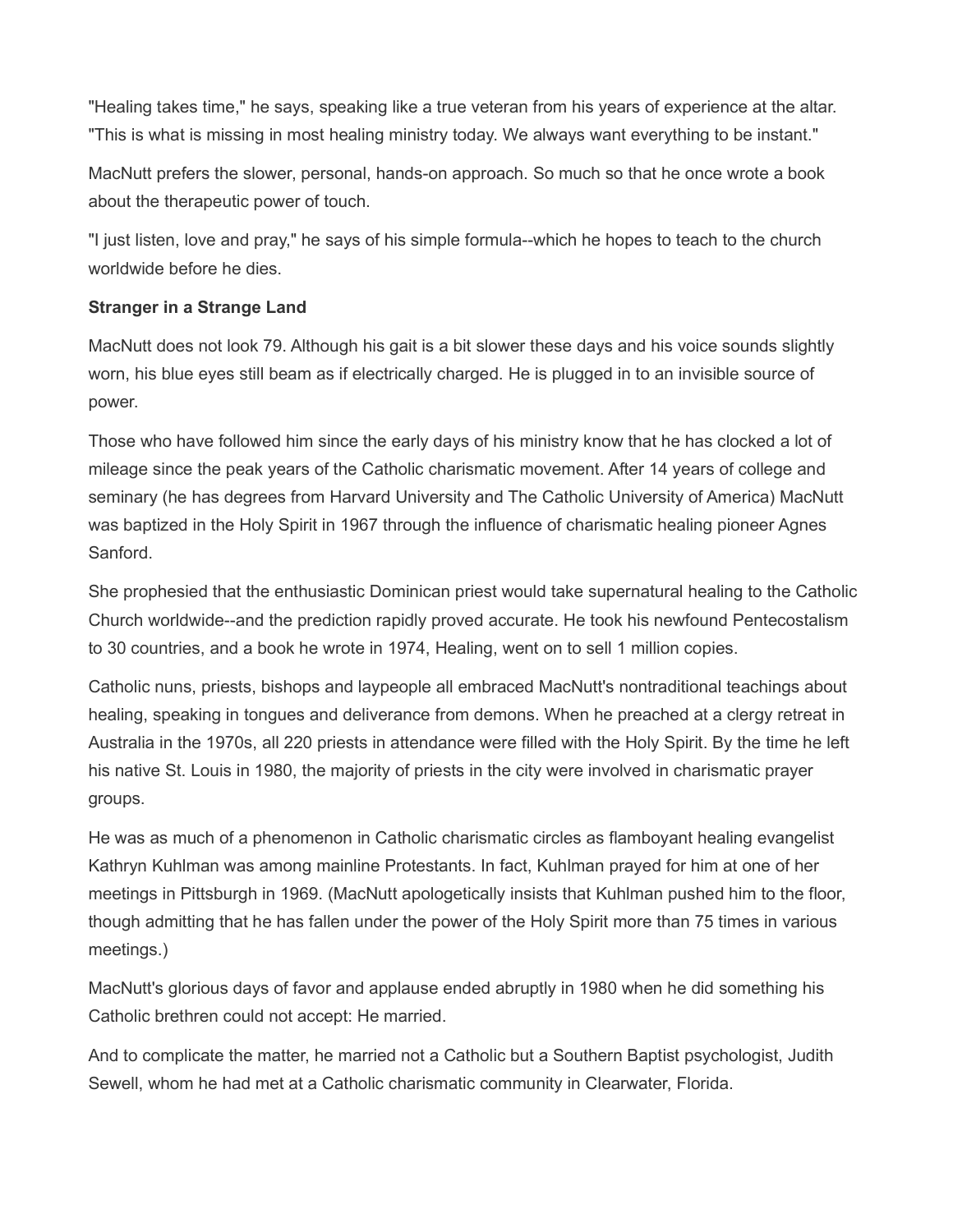"Healing takes time," he says, speaking like a true veteran from his years of experience at the altar. "This is what is missing in most healing ministry today. We always want everything to be instant."

MacNutt prefers the slower, personal, hands-on approach. So much so that he once wrote a book about the therapeutic power of touch.

"I just listen, love and pray," he says of his simple formula--which he hopes to teach to the church worldwide before he dies.

# Stranger in a Strange Land

MacNutt does not look 79. Although his gait is a bit slower these days and his voice sounds slightly worn, his blue eyes still beam as if electrically charged. He is plugged in to an invisible source of power.

Those who have followed him since the early days of his ministry know that he has clocked a lot of mileage since the peak years of the Catholic charismatic movement. After 14 years of college and seminary (he has degrees from Harvard University and The Catholic University of America) MacNutt was baptized in the Holy Spirit in 1967 through the influence of charismatic healing pioneer Agnes Sanford.

She prophesied that the enthusiastic Dominican priest would take supernatural healing to the Catholic Church worldwide--and the prediction rapidly proved accurate. He took his newfound Pentecostalism to 30 countries, and a book he wrote in 1974, Healing, went on to sell 1 million copies.

Catholic nuns, priests, bishops and laypeople all embraced MacNutt's nontraditional teachings about healing, speaking in tongues and deliverance from demons. When he preached at a clergy retreat in Australia in the 1970s, all 220 priests in attendance were filled with the Holy Spirit. By the time he left his native St. Louis in 1980, the majority of priests in the city were involved in charismatic prayer groups.

He was as much of a phenomenon in Catholic charismatic circles as flamboyant healing evangelist Kathryn Kuhlman was among mainline Protestants. In fact, Kuhlman prayed for him at one of her meetings in Pittsburgh in 1969. (MacNutt apologetically insists that Kuhlman pushed him to the floor, though admitting that he has fallen under the power of the Holy Spirit more than 75 times in various meetings.)

MacNutt's glorious days of favor and applause ended abruptly in 1980 when he did something his Catholic brethren could not accept: He married.

And to complicate the matter, he married not a Catholic but a Southern Baptist psychologist, Judith Sewell, whom he had met at a Catholic charismatic community in Clearwater, Florida.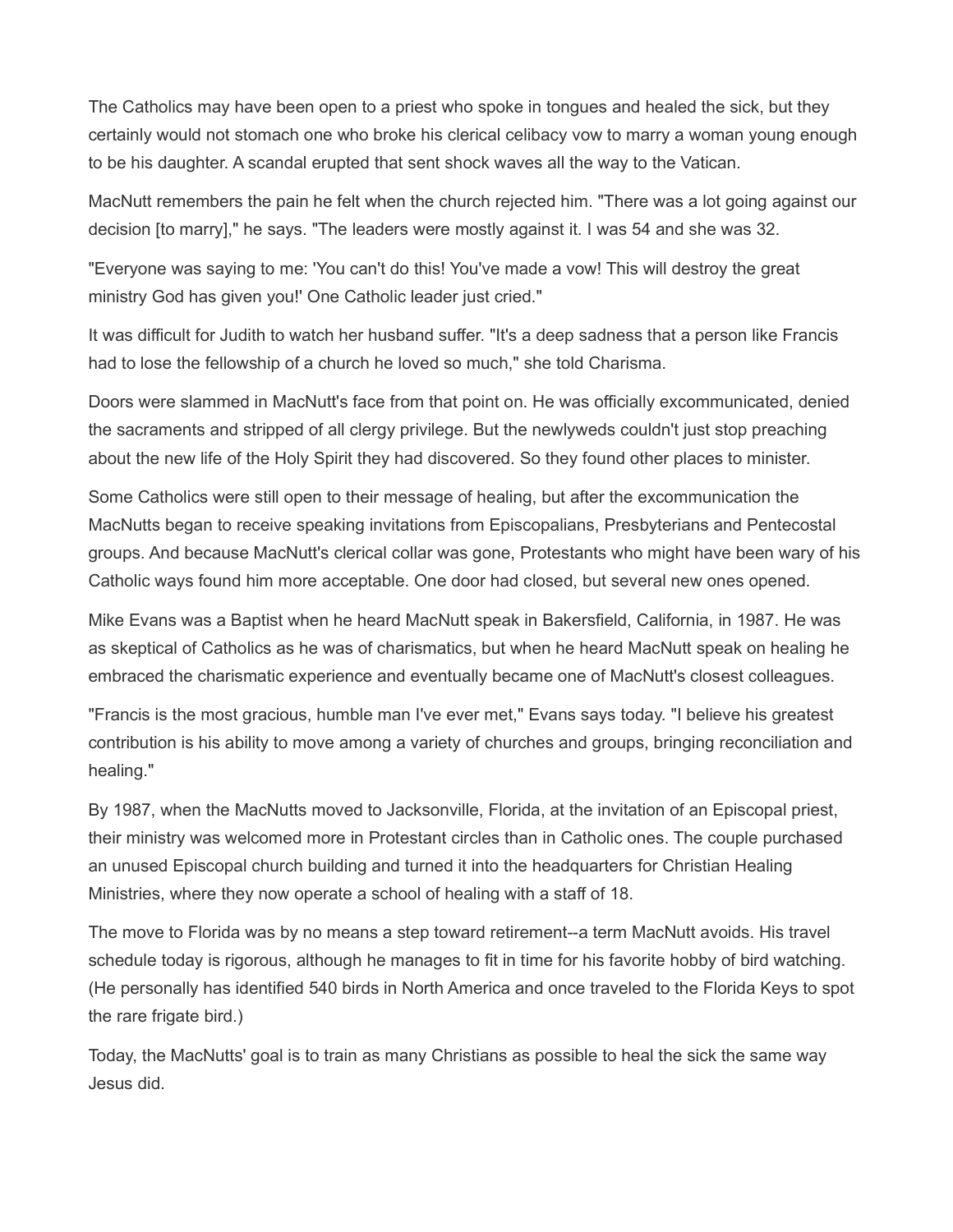The Catholics may have been open to a priest who spoke in tongues and healed the sick, but they certainly would not stomach one who broke his clerical celibacy vow to marry a woman young enough to be his daughter. A scandal erupted that sent shock waves all the way to the Vatican.

MacNutt remembers the pain he felt when the church rejected him. "There was a lot going against our decision [to marry]," he says. "The leaders were mostly against it. I was 54 and she was 32.

"Everyone was saying to me: 'You can't do this! You've made a vow! This will destroy the great ministry God has given you!' One Catholic leader just cried."

It was difficult for Judith to watch her husband suffer. "It's a deep sadness that a person like Francis had to lose the fellowship of a church he loved so much," she told Charisma.

Doors were slammed in MacNutt's face from that point on. He was officially excommunicated, denied the sacraments and stripped of all clergy privilege. But the newlyweds couldn't just stop preaching about the new life of the Holy Spirit they had discovered. So they found other places to minister.

Some Catholics were still open to their message of healing, but after the excommunication the MacNutts began to receive speaking invitations from Episcopalians, Presbyterians and Pentecostal groups. And because MacNutt's clerical collar was gone, Protestants who might have been wary of his Catholic ways found him more acceptable. One door had closed, but several new ones opened.

Mike Evans was a Baptist when he heard MacNutt speak in Bakersfield, California, in 1987. He was as skeptical of Catholics as he was of charismatics, but when he heard MacNutt speak on healing he embraced the charismatic experience and eventually became one of MacNutt's closest colleagues.

"Francis is the most gracious, humble man I've ever met," Evans says today. "I believe his greatest contribution is his ability to move among a variety of churches and groups, bringing reconciliation and healing."

By 1987, when the MacNutts moved to Jacksonville, Florida, at the invitation of an Episcopal priest, their ministry was welcomed more in Protestant circles than in Catholic ones. The couple purchased an unused Episcopal church building and turned it into the headquarters for Christian Healing Ministries, where they now operate a school of healing with a staff of 18.

The move to Florida was by no means a step toward retirement--a term MacNutt avoids. His travel schedule today is rigorous, although he manages to fit in time for his favorite hobby of bird watching. (He personally has identified 540 birds in North America and once traveled to the Florida Keys to spot the rare frigate bird.)

Today, the MacNutts' goal is to train as many Christians as possible to heal the sick the same way Jesus did.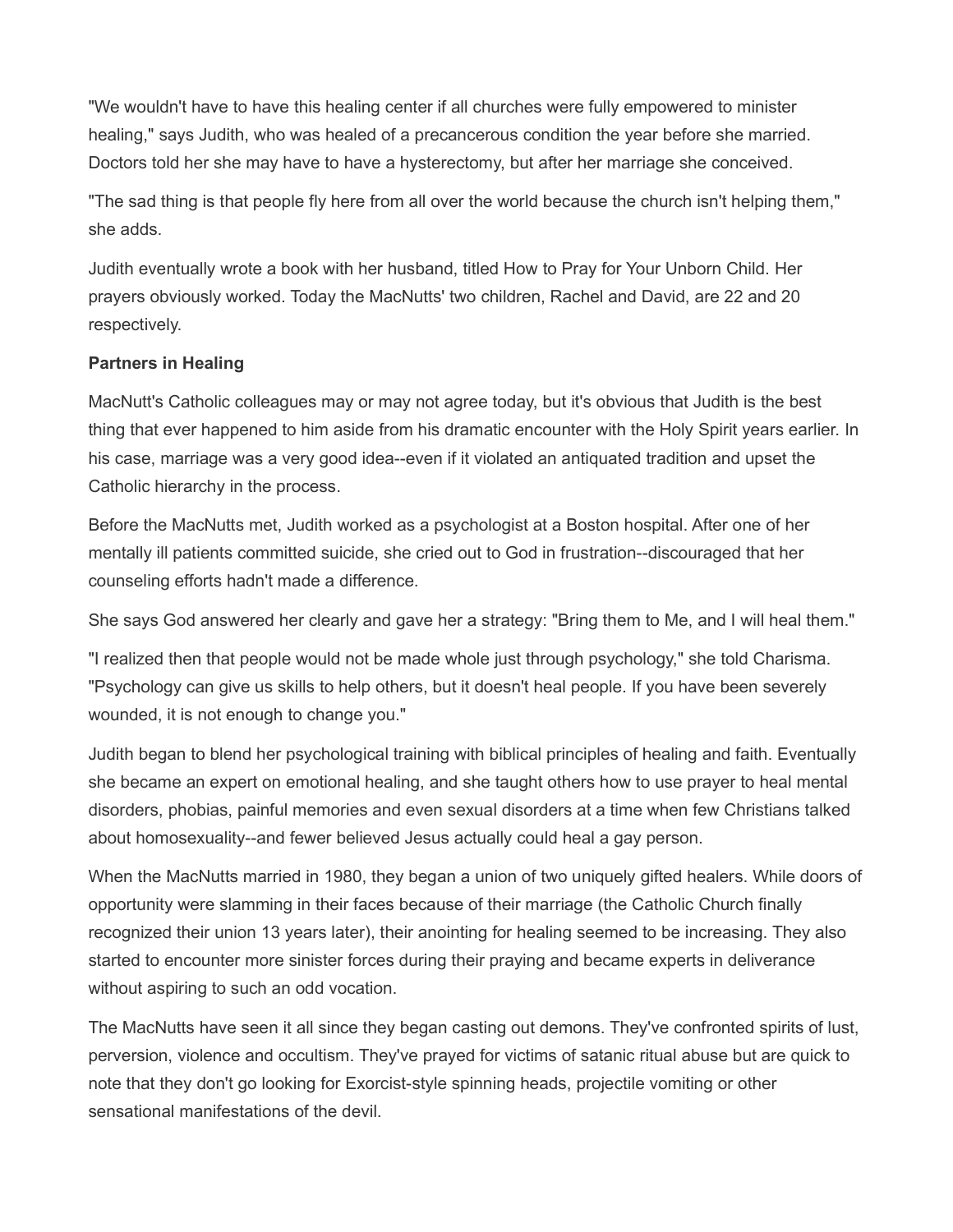"We wouldn't have to have this healing center if all churches were fully empowered to minister healing," says Judith, who was healed of a precancerous condition the year before she married. Doctors told her she may have to have a hysterectomy, but after her marriage she conceived.

"The sad thing is that people fly here from all over the world because the church isn't helping them," she adds.

Judith eventually wrote a book with her husband, titled How to Pray for Your Unborn Child. Her prayers obviously worked. Today the MacNutts' two children, Rachel and David, are 22 and 20 respectively.

# Partners in Healing

MacNutt's Catholic colleagues may or may not agree today, but it's obvious that Judith is the best thing that ever happened to him aside from his dramatic encounter with the Holy Spirit years earlier. In his case, marriage was a very good idea--even if it violated an antiquated tradition and upset the Catholic hierarchy in the process.

Before the MacNutts met, Judith worked as a psychologist at a Boston hospital. After one of her mentally ill patients committed suicide, she cried out to God in frustration--discouraged that her counseling efforts hadn't made a difference.

She says God answered her clearly and gave her a strategy: "Bring them to Me, and I will heal them."

"I realized then that people would not be made whole just through psychology," she told Charisma. "Psychology can give us skills to help others, but it doesn't heal people. If you have been severely wounded, it is not enough to change you."

Judith began to blend her psychological training with biblical principles of healing and faith. Eventually she became an expert on emotional healing, and she taught others how to use prayer to heal mental disorders, phobias, painful memories and even sexual disorders at a time when few Christians talked about homosexuality--and fewer believed Jesus actually could heal a gay person.

When the MacNutts married in 1980, they began a union of two uniquely gifted healers. While doors of opportunity were slamming in their faces because of their marriage (the Catholic Church finally recognized their union 13 years later), their anointing for healing seemed to be increasing. They also started to encounter more sinister forces during their praying and became experts in deliverance without aspiring to such an odd vocation.

The MacNutts have seen it all since they began casting out demons. They've confronted spirits of lust, perversion, violence and occultism. They've prayed for victims of satanic ritual abuse but are quick to note that they don't go looking for Exorcist-style spinning heads, projectile vomiting or other sensational manifestations of the devil.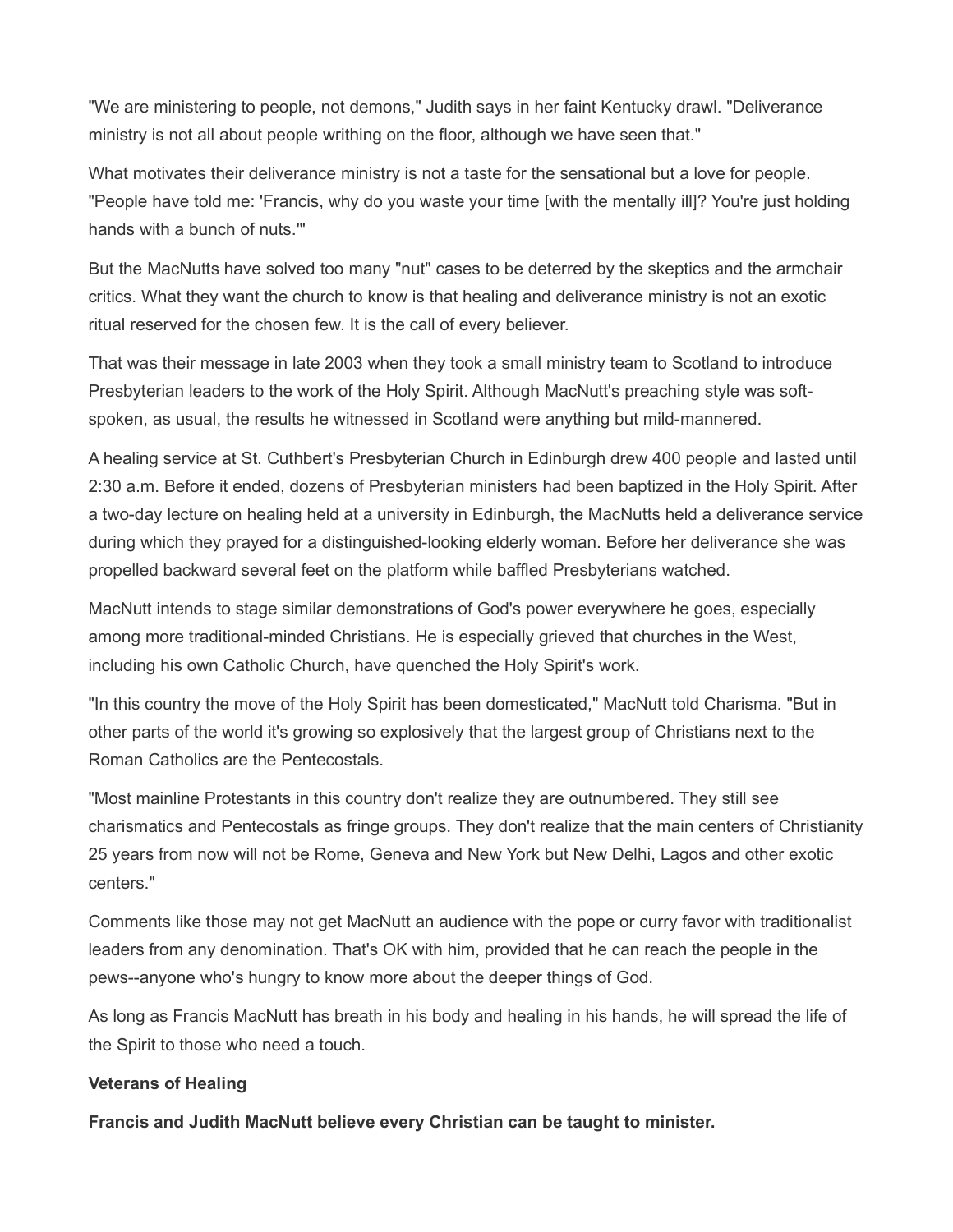"We are ministering to people, not demons," Judith says in her faint Kentucky drawl. "Deliverance ministry is not all about people writhing on the floor, although we have seen that."

What motivates their deliverance ministry is not a taste for the sensational but a love for people. "People have told me: 'Francis, why do you waste your time [with the mentally ill]? You're just holding hands with a bunch of nuts.'"

But the MacNutts have solved too many "nut" cases to be deterred by the skeptics and the armchair critics. What they want the church to know is that healing and deliverance ministry is not an exotic ritual reserved for the chosen few. It is the call of every believer.

That was their message in late 2003 when they took a small ministry team to Scotland to introduce Presbyterian leaders to the work of the Holy Spirit. Although MacNutt's preaching style was softspoken, as usual, the results he witnessed in Scotland were anything but mild-mannered.

A healing service at St. Cuthbert's Presbyterian Church in Edinburgh drew 400 people and lasted until 2:30 a.m. Before it ended, dozens of Presbyterian ministers had been baptized in the Holy Spirit. After a two-day lecture on healing held at a university in Edinburgh, the MacNutts held a deliverance service during which they prayed for a distinguished-looking elderly woman. Before her deliverance she was propelled backward several feet on the platform while baffled Presbyterians watched.

MacNutt intends to stage similar demonstrations of God's power everywhere he goes, especially among more traditional-minded Christians. He is especially grieved that churches in the West, including his own Catholic Church, have quenched the Holy Spirit's work.

"In this country the move of the Holy Spirit has been domesticated," MacNutt told Charisma. "But in other parts of the world it's growing so explosively that the largest group of Christians next to the Roman Catholics are the Pentecostals.

"Most mainline Protestants in this country don't realize they are outnumbered. They still see charismatics and Pentecostals as fringe groups. They don't realize that the main centers of Christianity 25 years from now will not be Rome, Geneva and New York but New Delhi, Lagos and other exotic centers."

Comments like those may not get MacNutt an audience with the pope or curry favor with traditionalist leaders from any denomination. That's OK with him, provided that he can reach the people in the pews--anyone who's hungry to know more about the deeper things of God.

As long as Francis MacNutt has breath in his body and healing in his hands, he will spread the life of the Spirit to those who need a touch.

### Veterans of Healing

Francis and Judith MacNutt believe every Christian can be taught to minister.